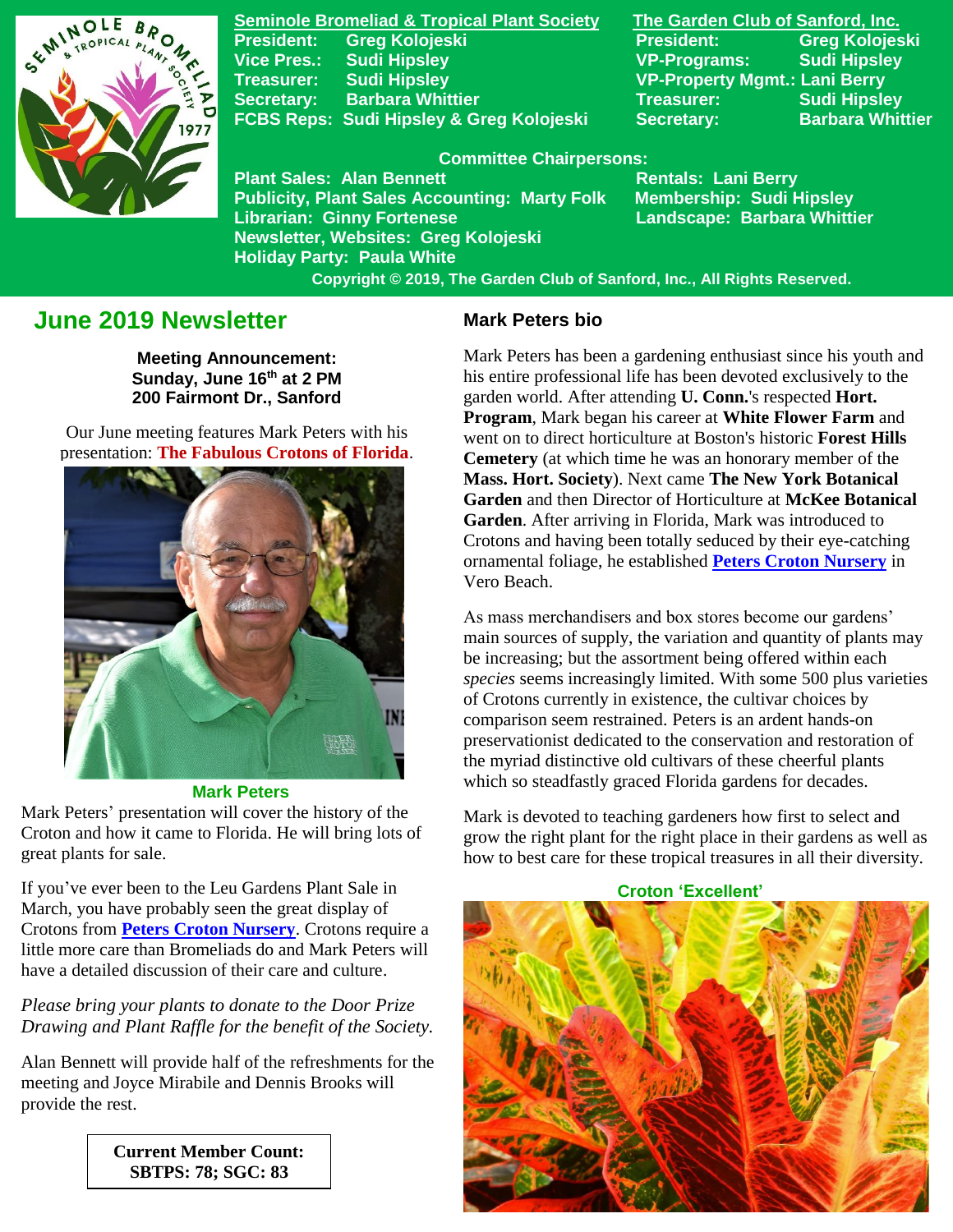

**Seminole Bromeliad & Tropical Plant Society The Garden Club of Sanford, Inc. President: Greg Kolojeski President: Greg Kolojeski Vice Pres.: Sudi Hipsley VP-Programs: Sudi Hipsley Treasurer: Sudi Hipsley VP-Property Mgmt.: Lani Berry Secretary:** Barbara Whittier **Network Treasurer:** Sudi Hipsley **FCBS Reps: Sudi Hipsley & Greg Kolojeski Secretary: Barbara Whittier** 

#### **Committee Chairpersons:**

**Plant Sales: Alan Bennett** Rentals: Lani Berry **Publicity, Plant Sales Accounting: Marty Folk Membership: Sudi Hipsley Librarian: Ginny Fortenese Landscape: Barbara Whittier Newsletter, Websites: Greg Kolojeski Holiday Party: Paula White** 

 **Copyright © 2019, The Garden Club of Sanford, Inc., All Rights Reserved.**

# **June 2019 Newsletter**

**Meeting Announcement: Sunday, June 16 th at 2 PM 200 Fairmont Dr., Sanford**

Our June meeting features Mark Peters with his presentation: **The Fabulous Crotons of Florida**.



 **Mark Peters**

Mark Peters' presentation will cover the history of the Croton and how it came to Florida. He will bring lots of great plants for sale.

If you've ever been to the Leu Gardens Plant Sale in March, you have probably seen the great display of Crotons from **[Peters Croton Nursery](https://peterscrotonnursery.com/)**. Crotons require a little more care than Bromeliads do and Mark Peters will have a detailed discussion of their care and culture.

## *Please bring your plants to donate to the Door Prize Drawing and Plant Raffle for the benefit of the Society.*

Alan Bennett will provide half of the refreshments for the meeting and Joyce Mirabile and Dennis Brooks will provide the rest.

> **Current Member Count: SBTPS: 78; SGC: 83**

### **Mark Peters bio**

Mark Peters has been a gardening enthusiast since his youth and his entire professional life has been devoted exclusively to the garden world. After attending **U. Conn.**'s respected **Hort. Program**, Mark began his career at **White Flower Farm** and went on to direct horticulture at Boston's historic **Forest Hills Cemetery** (at which time he was an honorary member of the **Mass. Hort. Society**). Next came **The New York Botanical Garden** and then Director of Horticulture at **McKee Botanical Garden**. After arriving in Florida, Mark was introduced to Crotons and having been totally seduced by their eye-catching ornamental foliage, he established **[Peters Croton Nursery](https://peterscrotonnursery.com/)** in Vero Beach.

As mass merchandisers and box stores become our gardens' main sources of supply, the variation and quantity of plants may be increasing; but the assortment being offered within each *species* seems increasingly limited. With some 500 plus varieties of Crotons currently in existence, the cultivar choices by comparison seem restrained. Peters is an ardent hands-on preservationist dedicated to the conservation and restoration of the myriad distinctive old cultivars of these cheerful plants which so steadfastly graced Florida gardens for decades.

Mark is devoted to teaching gardeners how first to select and grow the right plant for the right place in their gardens as well as how to best care for these tropical treasures in all their diversity.

**Croton 'Excellent'**